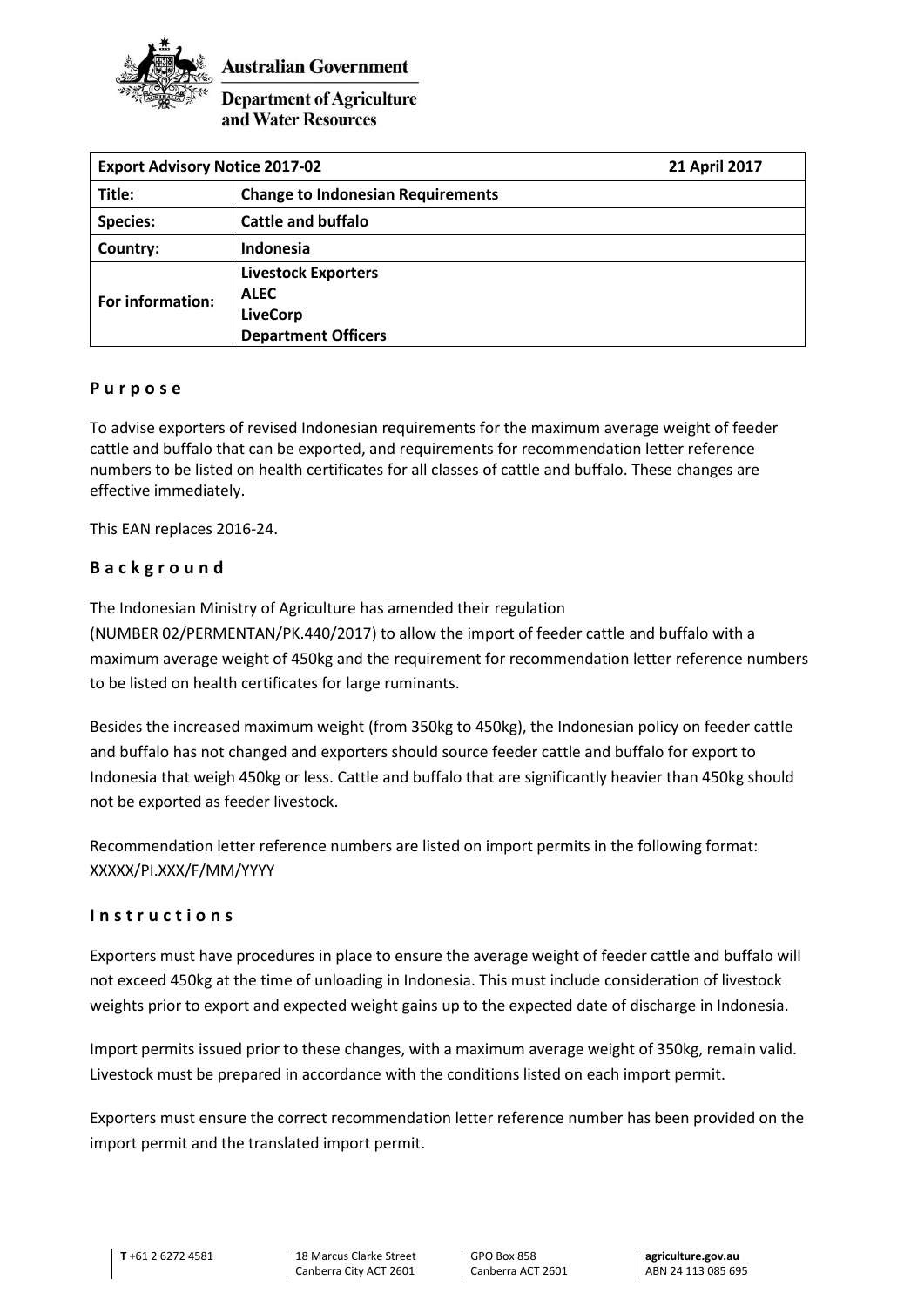

**Australian Government** 

# **Department of Agriculture** and Water Resources

| <b>Export Advisory Notice 2017-02</b> |                                           | 21 April 2017 |
|---------------------------------------|-------------------------------------------|---------------|
| Title:                                | <b>Change to Indonesian Requirements</b>  |               |
| <b>Species:</b>                       | <b>Cattle and buffalo</b>                 |               |
| Country:                              | Indonesia                                 |               |
| For information:                      | <b>Livestock Exporters</b><br><b>ALEC</b> |               |
|                                       | <b>LiveCorp</b>                           |               |
|                                       | <b>Department Officers</b>                |               |

### **P u r p o s e**

To advise exporters of revised Indonesian requirements for the maximum average weight of feeder cattle and buffalo that can be exported, and requirements for recommendation letter reference numbers to be listed on health certificates for all classes of cattle and buffalo. These changes are effective immediately.

This EAN replaces 2016-24.

# **B a c k g r o u n d**

The Indonesian Ministry of Agriculture has amended their regulation

(NUMBER 02/PERMENTAN/PK.440/2017) to allow the import of feeder cattle and buffalo with a maximum average weight of 450kg and the requirement for recommendation letter reference numbers to be listed on health certificates for large ruminants.

Besides the increased maximum weight (from 350kg to 450kg), the Indonesian policy on feeder cattle and buffalo has not changed and exporters should source feeder cattle and buffalo for export to Indonesia that weigh 450kg or less. Cattle and buffalo that are significantly heavier than 450kg should not be exported as feeder livestock.

Recommendation letter reference numbers are listed on import permits in the following format: XXXXX/PI.XXX/F/MM/YYYY

#### **I n s t r u c t i o n s**

Exporters must have procedures in place to ensure the average weight of feeder cattle and buffalo will not exceed 450kg at the time of unloading in Indonesia. This must include consideration of livestock weights prior to export and expected weight gains up to the expected date of discharge in Indonesia.

Import permits issued prior to these changes, with a maximum average weight of 350kg, remain valid. Livestock must be prepared in accordance with the conditions listed on each import permit.

Exporters must ensure the correct recommendation letter reference number has been provided on the import permit and the translated import permit.